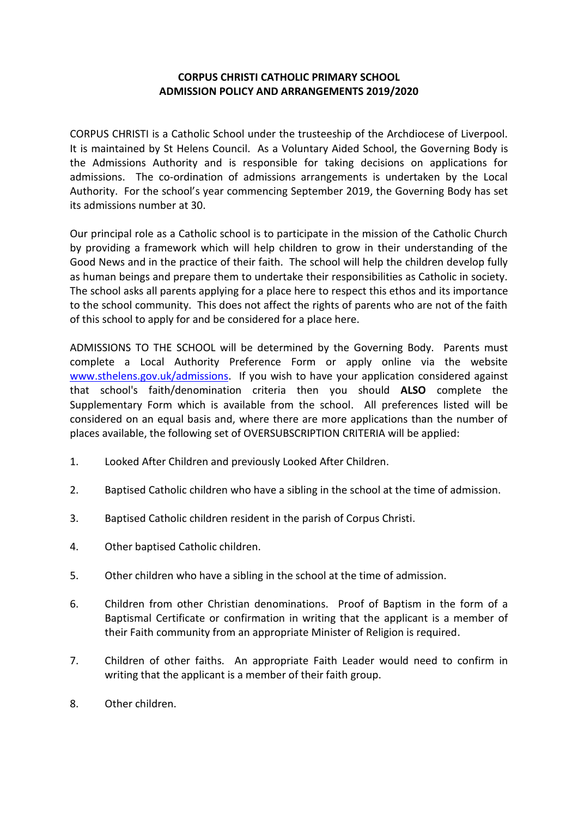## **CORPUS CHRISTI CATHOLIC PRIMARY SCHOOL ADMISSION POLICY AND ARRANGEMENTS 2019/2020**

CORPUS CHRISTI is a Catholic School under the trusteeship of the Archdiocese of Liverpool. It is maintained by St Helens Council. As a Voluntary Aided School, the Governing Body is the Admissions Authority and is responsible for taking decisions on applications for admissions. The co-ordination of admissions arrangements is undertaken by the Local Authority. For the school's year commencing September 2019, the Governing Body has set its admissions number at 30.

Our principal role as a Catholic school is to participate in the mission of the Catholic Church by providing a framework which will help children to grow in their understanding of the Good News and in the practice of their faith. The school will help the children develop fully as human beings and prepare them to undertake their responsibilities as Catholic in society. The school asks all parents applying for a place here to respect this ethos and its importance to the school community. This does not affect the rights of parents who are not of the faith of this school to apply for and be considered for a place here.

ADMISSIONS TO THE SCHOOL will be determined by the Governing Body. Parents must complete a Local Authority Preference Form or apply online via the website [www.sthelens.gov.uk/admissions.](http://www.sthelens.gov.uk/admissions) If you wish to have your application considered against that school's faith/denomination criteria then you should **ALSO** complete the Supplementary Form which is available from the school. All preferences listed will be considered on an equal basis and, where there are more applications than the number of places available, the following set of OVERSUBSCRIPTION CRITERIA will be applied:

- 1. Looked After Children and previously Looked After Children.
- 2. Baptised Catholic children who have a sibling in the school at the time of admission.
- 3. Baptised Catholic children resident in the parish of Corpus Christi.
- 4. Other baptised Catholic children.
- 5. Other children who have a sibling in the school at the time of admission.
- 6. Children from other Christian denominations. Proof of Baptism in the form of a Baptismal Certificate or confirmation in writing that the applicant is a member of their Faith community from an appropriate Minister of Religion is required.
- 7. Children of other faiths. An appropriate Faith Leader would need to confirm in writing that the applicant is a member of their faith group.
- 8. Other children.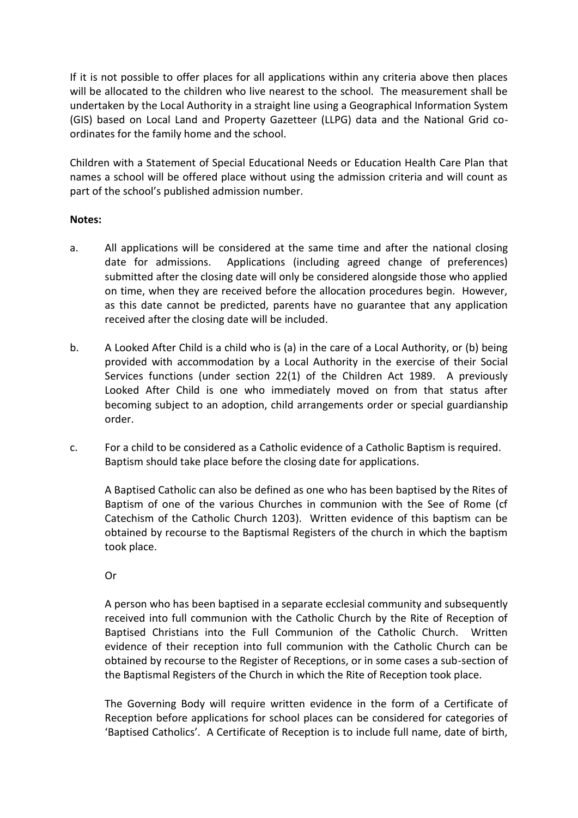If it is not possible to offer places for all applications within any criteria above then places will be allocated to the children who live nearest to the school. The measurement shall be undertaken by the Local Authority in a straight line using a Geographical Information System (GIS) based on Local Land and Property Gazetteer (LLPG) data and the National Grid coordinates for the family home and the school.

Children with a Statement of Special Educational Needs or Education Health Care Plan that names a school will be offered place without using the admission criteria and will count as part of the school's published admission number.

## **Notes:**

- a. All applications will be considered at the same time and after the national closing date for admissions. Applications (including agreed change of preferences) submitted after the closing date will only be considered alongside those who applied on time, when they are received before the allocation procedures begin. However, as this date cannot be predicted, parents have no guarantee that any application received after the closing date will be included.
- b. A Looked After Child is a child who is (a) in the care of a Local Authority, or (b) being provided with accommodation by a Local Authority in the exercise of their Social Services functions (under section 22(1) of the Children Act 1989. A previously Looked After Child is one who immediately moved on from that status after becoming subject to an adoption, child arrangements order or special guardianship order.
- c. For a child to be considered as a Catholic evidence of a Catholic Baptism is required. Baptism should take place before the closing date for applications.

A Baptised Catholic can also be defined as one who has been baptised by the Rites of Baptism of one of the various Churches in communion with the See of Rome (cf Catechism of the Catholic Church 1203). Written evidence of this baptism can be obtained by recourse to the Baptismal Registers of the church in which the baptism took place.

## Or

A person who has been baptised in a separate ecclesial community and subsequently received into full communion with the Catholic Church by the Rite of Reception of Baptised Christians into the Full Communion of the Catholic Church. Written evidence of their reception into full communion with the Catholic Church can be obtained by recourse to the Register of Receptions, or in some cases a sub-section of the Baptismal Registers of the Church in which the Rite of Reception took place.

The Governing Body will require written evidence in the form of a Certificate of Reception before applications for school places can be considered for categories of 'Baptised Catholics'. A Certificate of Reception is to include full name, date of birth,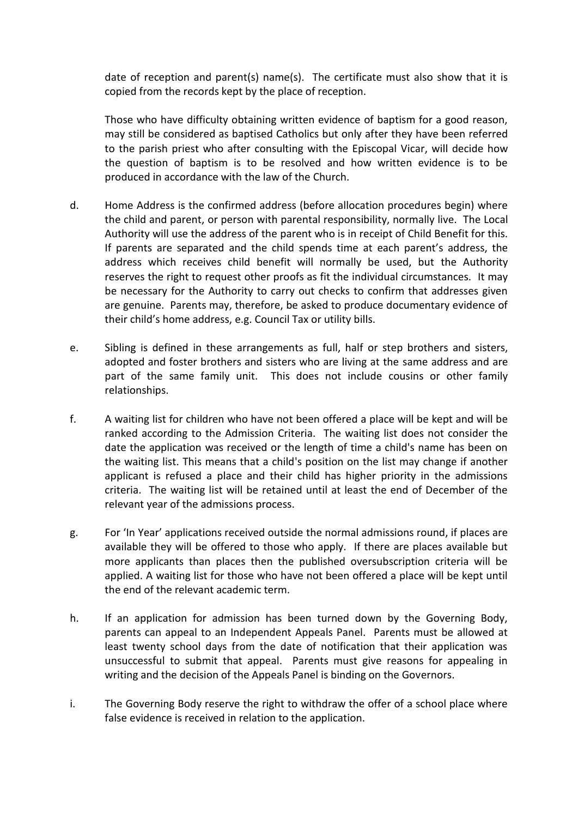date of reception and parent(s) name(s). The certificate must also show that it is copied from the records kept by the place of reception.

Those who have difficulty obtaining written evidence of baptism for a good reason, may still be considered as baptised Catholics but only after they have been referred to the parish priest who after consulting with the Episcopal Vicar, will decide how the question of baptism is to be resolved and how written evidence is to be produced in accordance with the law of the Church.

- d. Home Address is the confirmed address (before allocation procedures begin) where the child and parent, or person with parental responsibility, normally live. The Local Authority will use the address of the parent who is in receipt of Child Benefit for this. If parents are separated and the child spends time at each parent's address, the address which receives child benefit will normally be used, but the Authority reserves the right to request other proofs as fit the individual circumstances. It may be necessary for the Authority to carry out checks to confirm that addresses given are genuine. Parents may, therefore, be asked to produce documentary evidence of their child's home address, e.g. Council Tax or utility bills.
- e. Sibling is defined in these arrangements as full, half or step brothers and sisters, adopted and foster brothers and sisters who are living at the same address and are part of the same family unit. This does not include cousins or other family relationships.
- f. A waiting list for children who have not been offered a place will be kept and will be ranked according to the Admission Criteria. The waiting list does not consider the date the application was received or the length of time a child's name has been on the waiting list. This means that a child's position on the list may change if another applicant is refused a place and their child has higher priority in the admissions criteria. The waiting list will be retained until at least the end of December of the relevant year of the admissions process.
- g. For 'In Year' applications received outside the normal admissions round, if places are available they will be offered to those who apply. If there are places available but more applicants than places then the published oversubscription criteria will be applied. A waiting list for those who have not been offered a place will be kept until the end of the relevant academic term.
- h. If an application for admission has been turned down by the Governing Body, parents can appeal to an Independent Appeals Panel. Parents must be allowed at least twenty school days from the date of notification that their application was unsuccessful to submit that appeal. Parents must give reasons for appealing in writing and the decision of the Appeals Panel is binding on the Governors.
- i. The Governing Body reserve the right to withdraw the offer of a school place where false evidence is received in relation to the application.